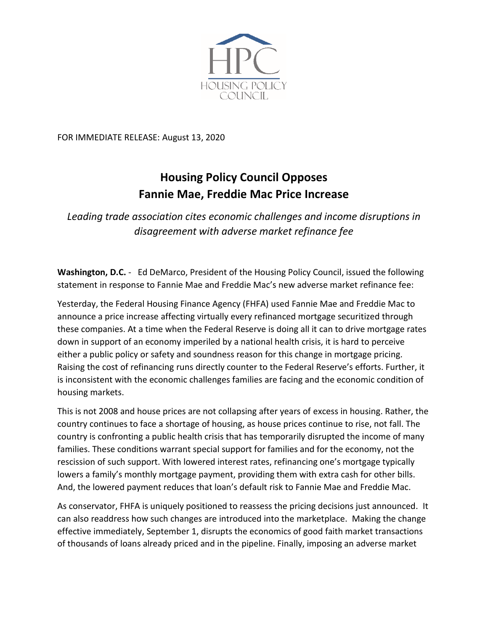

FOR IMMEDIATE RELEASE: August 13, 2020

## **Housing Policy Council Opposes Fannie Mae, Freddie Mac Price Increase**

*Leading trade association cites economic challenges and income disruptions in disagreement with adverse market refinance fee*

**Washington, D.C.** - Ed DeMarco, President of the Housing Policy Council, issued the following statement in response to Fannie Mae and Freddie Mac's new adverse market refinance fee:

Yesterday, the Federal Housing Finance Agency (FHFA) used Fannie Mae and Freddie Mac to announce a price increase affecting virtually every refinanced mortgage securitized through these companies. At a time when the Federal Reserve is doing all it can to drive mortgage rates down in support of an economy imperiled by a national health crisis, it is hard to perceive either a public policy or safety and soundness reason for this change in mortgage pricing. Raising the cost of refinancing runs directly counter to the Federal Reserve's efforts. Further, it is inconsistent with the economic challenges families are facing and the economic condition of housing markets.

This is not 2008 and house prices are not collapsing after years of excess in housing. Rather, the country continues to face a shortage of housing, as house prices continue to rise, not fall. The country is confronting a public health crisis that has temporarily disrupted the income of many families. These conditions warrant special support for families and for the economy, not the rescission of such support. With lowered interest rates, refinancing one's mortgage typically lowers a family's monthly mortgage payment, providing them with extra cash for other bills. And, the lowered payment reduces that loan's default risk to Fannie Mae and Freddie Mac.

As conservator, FHFA is uniquely positioned to reassess the pricing decisions just announced. It can also readdress how such changes are introduced into the marketplace. Making the change effective immediately, September 1, disrupts the economics of good faith market transactions of thousands of loans already priced and in the pipeline. Finally, imposing an adverse market